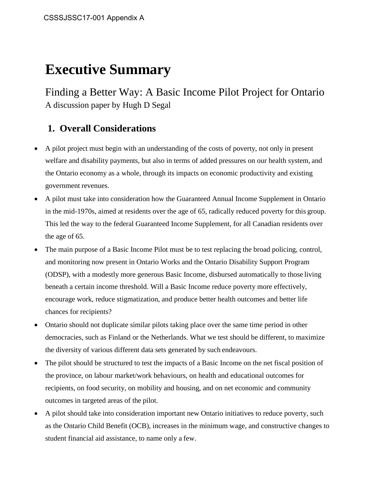# **Executive Summary**

Finding a Better Way: A Basic Income Pilot Project for Ontario A discussion paper by Hugh D Segal

# **1. Overall Considerations**

- A pilot project must begin with an understanding of the costs of poverty, not only in present welfare and disability payments, but also in terms of added pressures on our health system, and the Ontario economy as a whole, through its impacts on economic productivity and existing government revenues.
- A pilot must take into consideration how the Guaranteed Annual Income Supplement in Ontario in the mid-1970s, aimed at residents over the age of 65, radically reduced poverty for this group. This led the way to the federal Guaranteed Income Supplement, for all Canadian residents over the age of 65.
- The main purpose of a Basic Income Pilot must be to test replacing the broad policing, control, and monitoring now present in Ontario Works and the Ontario Disability Support Program (ODSP), with a modestly more generous Basic Income, disbursed automatically to those living beneath a certain income threshold. Will a Basic Income reduce poverty more effectively, encourage work, reduce stigmatization, and produce better health outcomes and better life chances for recipients?
- Ontario should not duplicate similar pilots taking place over the same time period in other democracies, such as Finland or the Netherlands. What we test should be different, to maximize the diversity of various different data sets generated by such endeavours.
- The pilot should be structured to test the impacts of a Basic Income on the net fiscal position of the province, on labour market/work behaviours, on health and educational outcomes for recipients, on food security, on mobility and housing, and on net economic and community outcomes in targeted areas of the pilot.
- A pilot should take into consideration important new Ontario initiatives to reduce poverty, such as the Ontario Child Benefit (OCB), increases in the minimum wage, and constructive changes to student financial aid assistance, to name only a few.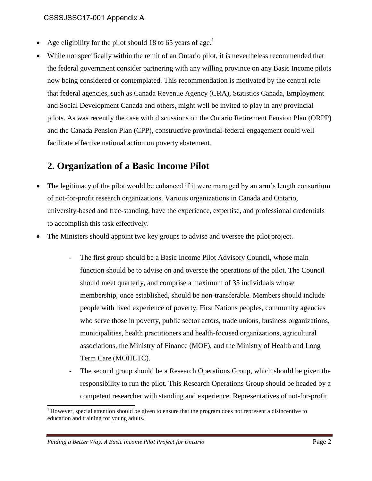- Age eligibility for the pilot should [1](#page-1-0)8 to 65 years of age.<sup>1</sup>
- While not specifically within the remit of an Ontario pilot, it is nevertheless recommended that the federal government consider partnering with any willing province on any Basic Income pilots now being considered or contemplated. This recommendation is motivated by the central role that federal agencies, such as Canada Revenue Agency (CRA), Statistics Canada, Employment and Social Development Canada and others, might well be invited to play in any provincial pilots. As was recently the case with discussions on the Ontario Retirement Pension Plan (ORPP) and the Canada Pension Plan (CPP), constructive provincial-federal engagement could well facilitate effective national action on poverty abatement.

# **2. Organization of a Basic Income Pilot**

- The legitimacy of the pilot would be enhanced if it were managed by an arm's length consortium of not-for-profit research organizations. Various organizations in Canada and Ontario, university-based and free-standing, have the experience, expertise, and professional credentials to accomplish this task effectively.
- The Ministers should appoint two key groups to advise and oversee the pilot project.
	- The first group should be a Basic Income Pilot Advisory Council, whose main function should be to advise on and oversee the operations of the pilot. The Council should meet quarterly, and comprise a maximum of 35 individuals whose membership, once established, should be non-transferable. Members should include people with lived experience of poverty, First Nations peoples, community agencies who serve those in poverty, public sector actors, trade unions, business organizations, municipalities, health practitioners and health-focused organizations, agricultural associations, the Ministry of Finance (MOF), and the Ministry of Health and Long Term Care (MOHLTC).
	- The second group should be a Research Operations Group, which should be given the responsibility to run the pilot. This Research Operations Group should be headed by a competent researcher with standing and experience. Representatives of not-for-profit

<span id="page-1-0"></span> $1$  However, special attention should be given to ensure that the program does not represent a disincentive to education and training for young adults.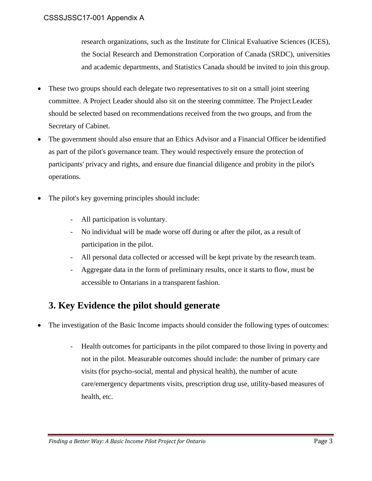research organizations, such as the Institute for Clinical Evaluative Sciences (ICES), the Social Research and Demonstration Corporation of Canada (SRDC), universities and academic departments, and Statistics Canada should be invited to join this group.

- These two groups should each delegate two representatives to sit on a small joint steering committee. A Project Leader should also sit on the steering committee. The Project Leader should be selected based on recommendations received from the two groups, and from the Secretary of Cabinet.
- The government should also ensure that an Ethics Advisor and a Financial Officer be identified as part of the pilot's governance team. They would respectively ensure the protection of participants' privacy and rights, and ensure due financial diligence and probity in the pilot's operations.
- The pilot's key governing principles should include:
	- All participation is voluntary.
	- No individual will be made worse off during or after the pilot, as a result of participation in the pilot.
	- All personal data collected or accessed will be kept private by the research team.
	- Aggregate data in the form of preliminary results, once it starts to flow, must be accessible to Ontarians in a transparent fashion.

### **3. Key Evidence the pilot should generate**

- The investigation of the Basic Income impacts should consider the following types of outcomes:
	- Health outcomes for participants in the pilot compared to those living in poverty and not in the pilot. Measurable outcomes should include: the number of primary care visits (for psycho-social, mental and physical health), the number of acute care/emergency departments visits, prescription drug use, utility-based measures of health, etc.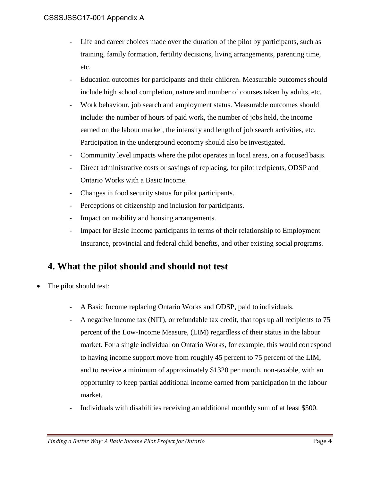#### CSSSJSSC17-001 Appendix A

- Life and career choices made over the duration of the pilot by participants, such as training, family formation, fertility decisions, living arrangements, parenting time, etc.
- Education outcomes for participants and their children. Measurable outcomes should include high school completion, nature and number of courses taken by adults, etc.
- Work behaviour, job search and employment status. Measurable outcomes should include: the number of hours of paid work, the number of jobs held, the income earned on the labour market, the intensity and length of job search activities, etc. Participation in the underground economy should also be investigated.
- Community level impacts where the pilot operates in local areas, on a focused basis.
- Direct administrative costs or savings of replacing, for pilot recipients, ODSP and Ontario Works with a Basic Income.
- Changes in food security status for pilot participants.
- Perceptions of citizenship and inclusion for participants.
- Impact on mobility and housing arrangements.
- Impact for Basic Income participants in terms of their relationship to Employment Insurance, provincial and federal child benefits, and other existing social programs.

### **4. What the pilot should and should not test**

- The pilot should test:
	- A Basic Income replacing Ontario Works and ODSP, paid to individuals.
	- A negative income tax (NIT), or refundable tax credit, that tops up all recipients to 75 percent of the Low-Income Measure, (LIM) regardless of their status in the labour market. For a single individual on Ontario Works, for example, this would correspond to having income support move from roughly 45 percent to 75 percent of the LIM, and to receive a minimum of approximately \$1320 per month, non-taxable, with an opportunity to keep partial additional income earned from participation in the labour market.
	- Individuals with disabilities receiving an additional monthly sum of at least \$500.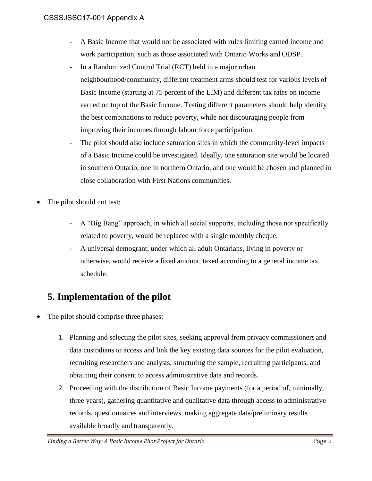- A Basic Income that would not be associated with rules limiting earned income and work participation, such as those associated with Ontario Works and ODSP.
- In a Randomized Control Trial (RCT) held in a major urban neighbourhood/community, different treatment arms should test for various levels of Basic Income (starting at 75 percent of the LIM) and different tax rates on income earned on top of the Basic Income. Testing different parameters should help identify the best combinations to reduce poverty, while not discouraging people from improving their incomes through labour force participation.
- The pilot should also include saturation sites in which the community-level impacts of a Basic Income could be investigated. Ideally, one saturation site would be located in southern Ontario, one in northern Ontario, and one would be chosen and planned in close collaboration with First Nations communities.
- The pilot should not test:
	- A "Big Bang" approach, in which all social supports, including those not specifically related to poverty, would be replaced with a single monthly cheque.
	- A universal demogrant, under which all adult Ontarians, living in poverty or otherwise, would receive a fixed amount, taxed according to a general income tax schedule.

# **5. Implementation of the pilot**

- The pilot should comprise three phases:
	- 1. Planning and selecting the pilot sites, seeking approval from privacy commissioners and data custodians to access and link the key existing data sources for the pilot evaluation, recruiting researchers and analysts, structuring the sample, recruiting participants, and obtaining their consent to access administrative data and records.
	- 2. Proceeding with the distribution of Basic Income payments (for a period of, minimally, three years), gathering quantitative and qualitative data through access to administrative records, questionnaires and interviews, making aggregate data/preliminary results available broadly and transparently.